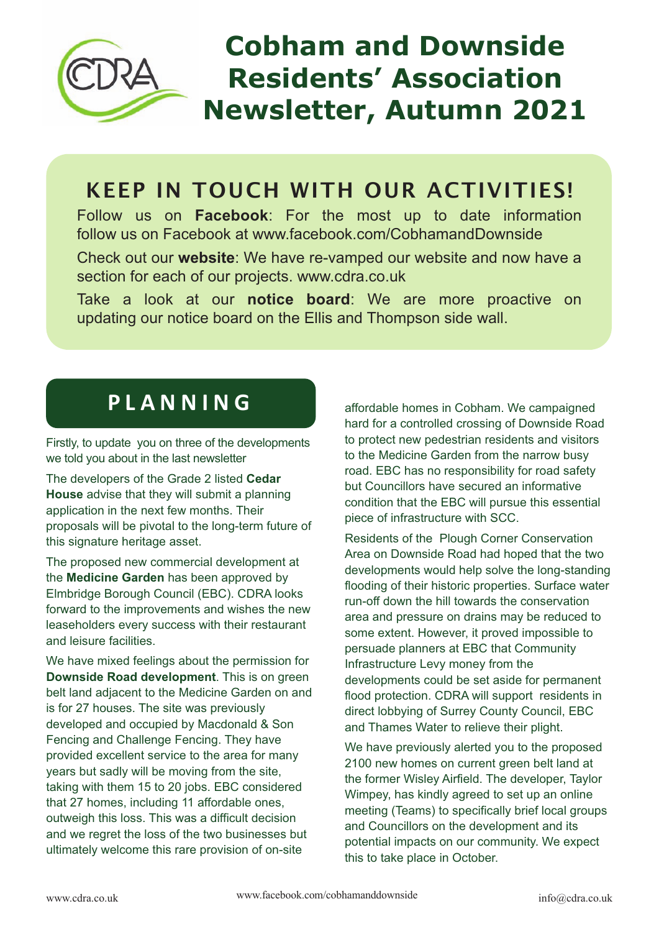

# **Cobham and Downside Residents' Association Newsletter, Autumn 2021**

# KEEP IN TOUCH WITH OUR ACTIVITIES!

Follow us on **Facebook**: For the most up to date information follow us on Facebook at www.facebook.com/CobhamandDownside

Check out our **website**: We have re-vamped our website and now have a section for each of our projects. www.cdra.co.uk

Take a look at our **notice board**: We are more proactive on updating our notice board on the Ellis and Thompson side wall.

## **P L A N N I N G**

Firstly, to update you on three of the developments we told you about in the last newsletter

The developers of the Grade 2 listed **Cedar House** advise that they will submit a planning application in the next few months. Their proposals will be pivotal to the long-term future of this signature heritage asset.

The proposed new commercial development at the **Medicine Garden** has been approved by Elmbridge Borough Council (EBC). CDRA looks forward to the improvements and wishes the new leaseholders every success with their restaurant and leisure facilities.

We have mixed feelings about the permission for **Downside Road development**. This is on green belt land adjacent to the Medicine Garden on and is for 27 houses. The site was previously developed and occupied by Macdonald & Son Fencing and Challenge Fencing. They have provided excellent service to the area for many years but sadly will be moving from the site, taking with them 15 to 20 jobs. EBC considered that 27 homes, including 11 affordable ones, outweigh this loss. This was a difficult decision and we regret the loss of the two businesses but ultimately welcome this rare provision of on-site

affordable homes in Cobham. We campaigned hard for a controlled crossing of Downside Road to protect new pedestrian residents and visitors to the Medicine Garden from the narrow busy road. EBC has no responsibility for road safety but Councillors have secured an informative condition that the EBC will pursue this essential piece of infrastructure with SCC.

Residents of the Plough Corner Conservation Area on Downside Road had hoped that the two developments would help solve the long-standing flooding of their historic properties. Surface water run-off down the hill towards the conservation area and pressure on drains may be reduced to some extent. However, it proved impossible to persuade planners at EBC that Community Infrastructure Levy money from the developments could be set aside for permanent flood protection. CDRA will support residents in direct lobbying of Surrey County Council, EBC and Thames Water to relieve their plight.

We have previously alerted you to the proposed 2100 new homes on current green belt land at the former Wisley Airfield. The developer, Taylor Wimpey, has kindly agreed to set up an online meeting (Teams) to specifically brief local groups and Councillors on the development and its potential impacts on our community. We expect this to take place in October.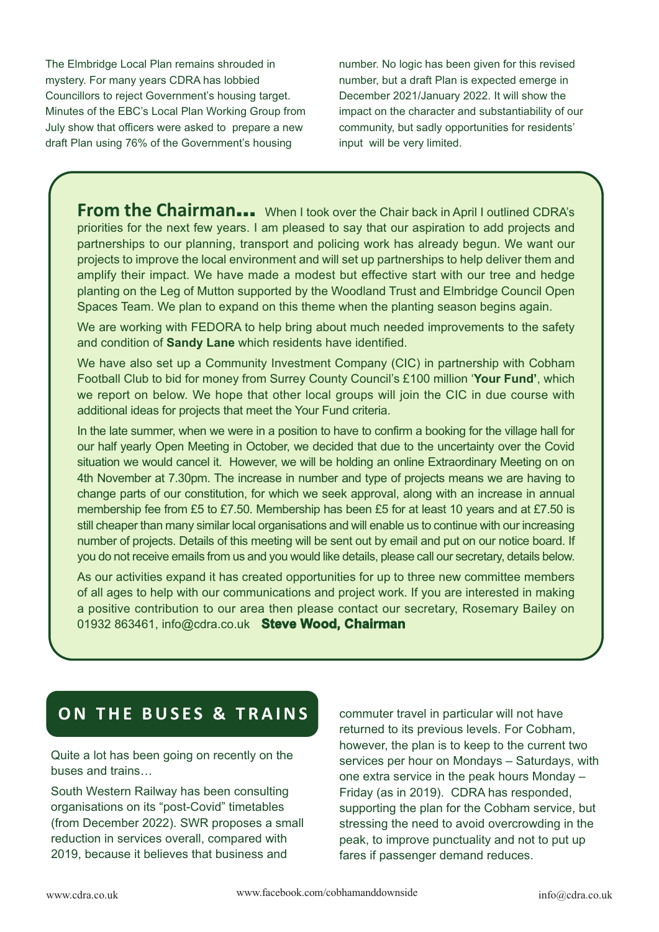The Elmbridge Local Plan remains shrouded in mystery. For many years CDRA has lobbied Councillors to reject Government's housing target. Minutes of the EBC's Local Plan Working Group from July show that officers were asked to prepare a new draft Plan using 76% of the Government's housing

number. No logic has been given for this revised number, but a draft Plan is expected emerge in December 2021/January 2022. It will show the impact on the character and substantiability of our community, but sadly opportunities for residents' input will be very limited.

**From the Chairman...** When I took over the Chair back in April I outlined CDRA's priorities for the next few years. I am pleased to say that our aspiration to add projects and partnerships to our planning, transport and policing work has already begun. We want our projects to improve the local environment and will set up partnerships to help deliver them and amplify their impact. We have made a modest but effective start with our tree and hedge planting on the Leg of Mutton supported by the Woodland Trust and Elmbridge Council Open Spaces Team. We plan to expand on this theme when the planting season begins again.

We are working with FEDORA to help bring about much needed improvements to the safety and condition of **Sandy Lane** which residents have identified.

We have also set up a Community Investment Company (CIC) in partnership with Cobham Football Club to bid for money from Surrey County Council's £100 million '**Your Fund'**, which we report on below. We hope that other local groups will join the CIC in due course with additional ideas for projects that meet the Your Fund criteria.

In the late summer, when we were in a position to have to confirm a booking for the village hall for our half yearly Open Meeting in October, we decided that due to the uncertainty over the Covid situation we would cancel it. However, we will be holding an online Extraordinary Meeting on on 4th November at 7.30pm. The increase in number and type of projects means we are having to change parts of our constitution, for which we seek approval, along with an increase in annual membership fee from £5 to £7.50. Membership has been £5 for at least 10 years and at £7.50 is still cheaper than many similar local organisations and will enable us to continue with our increasing number of projects. Details of this meeting will be sent out by email and put on our notice board. If you do not receive emails from us and you would like details, please call our secretary, details below.

As our activities expand it has created opportunities for up to three new committee members of all ages to help with our communications and project work. If you are interested in making a positive contribution to our area then please contact our secretary, Rosemary Bailey on 01932 863461, info@cdra.co.uk **Steve Wood, Chairman**

#### **ON THE BUSES & TRAINS**

Quite a lot has been going on recently on the buses and trains…

South Western Railway has been consulting organisations on its "post-Covid" timetables (from December 2022). SWR proposes a small reduction in services overall, compared with 2019, because it believes that business and

commuter travel in particular will not have returned to its previous levels. For Cobham, however, the plan is to keep to the current two services per hour on Mondays – Saturdays, with one extra service in the peak hours Monday – Friday (as in 2019). CDRA has responded, supporting the plan for the Cobham service, but stressing the need to avoid overcrowding in the peak, to improve punctuality and not to put up fares if passenger demand reduces.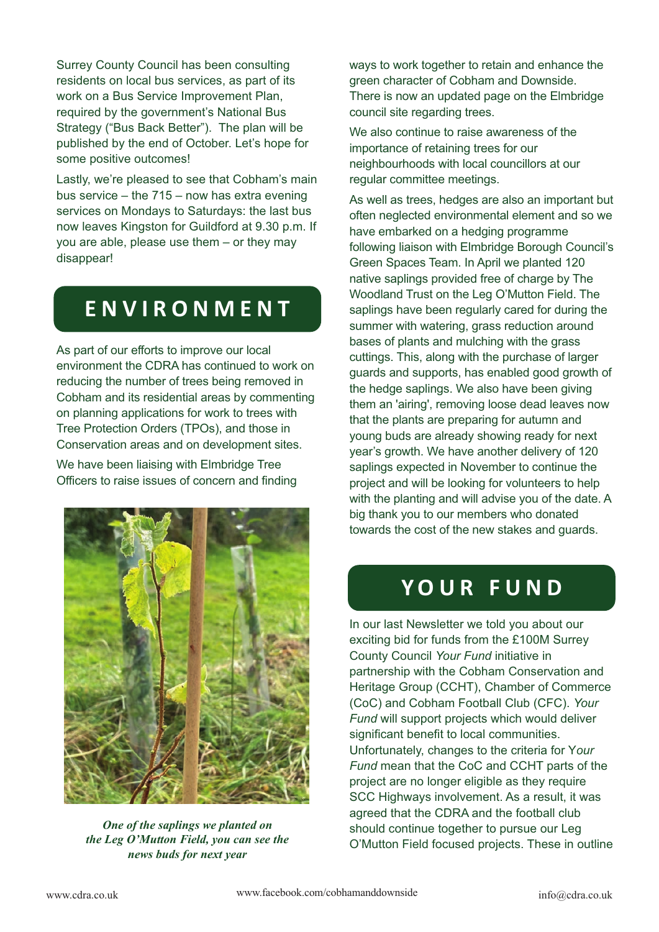Surrey County Council has been consulting residents on local bus services, as part of its work on a Bus Service Improvement Plan, required by the government's National Bus Strategy ("Bus Back Better"). The plan will be published by the end of October. Let's hope for some positive outcomes!

Lastly, we're pleased to see that Cobham's main bus service – the 715 – now has extra evening services on Mondays to Saturdays: the last bus now leaves Kingston for Guildford at 9.30 p.m. If you are able, please use them – or they may disappear!

# **E N V I R O N M E N T**

As part of our efforts to improve our local environment the CDRA has continued to work on reducing the number of trees being removed in Cobham and its residential areas by commenting on planning applications for work to trees with Tree Protection Orders (TPOs), and those in Conservation areas and on development sites.

We have been liaising with Elmbridge Tree Officers to raise issues of concern and finding



*One of the saplings we planted on the Leg O'Mutton Field, you can see the news buds for next year*

ways to work together to retain and enhance the green character of Cobham and Downside. There is now an updated page on the Elmbridge council site regarding trees.

We also continue to raise awareness of the importance of retaining trees for our neighbourhoods with local councillors at our regular committee meetings.

As well as trees, hedges are also an important but often neglected environmental element and so we have embarked on a hedging programme following liaison with Elmbridge Borough Council's Green Spaces Team. In April we planted 120 native saplings provided free of charge by The Woodland Trust on the Leg O'Mutton Field. The saplings have been regularly cared for during the summer with watering, grass reduction around bases of plants and mulching with the grass cuttings. This, along with the purchase of larger guards and supports, has enabled good growth of the hedge saplings. We also have been giving them an 'airing', removing loose dead leaves now that the plants are preparing for autumn and young buds are already showing ready for next year's growth. We have another delivery of 120 saplings expected in November to continue the project and will be looking for volunteers to help with the planting and will advise you of the date. A big thank you to our members who donated towards the cost of the new stakes and guards.

### **Y O U R F U N D**

In our last Newsletter we told you about our exciting bid for funds from the £100M Surrey County Council *Your Fund* initiative in partnership with the Cobham Conservation and Heritage Group (CCHT), Chamber of Commerce (CoC) and Cobham Football Club (CFC). *Your Fund* will support projects which would deliver significant benefit to local communities. Unfortunately, changes to the criteria for Y*our Fund* mean that the CoC and CCHT parts of the project are no longer eligible as they require SCC Highways involvement. As a result, it was agreed that the CDRA and the football club should continue together to pursue our Leg O'Mutton Field focused projects. These in outline